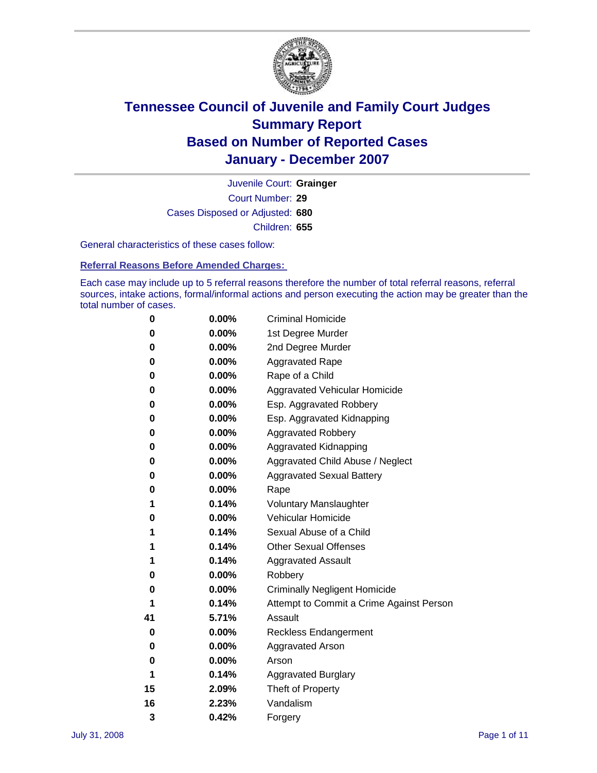

Court Number: **29** Juvenile Court: **Grainger** Cases Disposed or Adjusted: **680** Children: **655**

General characteristics of these cases follow:

**Referral Reasons Before Amended Charges:** 

Each case may include up to 5 referral reasons therefore the number of total referral reasons, referral sources, intake actions, formal/informal actions and person executing the action may be greater than the total number of cases.

| 0  | $0.00\%$ | <b>Criminal Homicide</b>                 |
|----|----------|------------------------------------------|
| 0  | 0.00%    | 1st Degree Murder                        |
| 0  | $0.00\%$ | 2nd Degree Murder                        |
| 0  | 0.00%    | <b>Aggravated Rape</b>                   |
| 0  | 0.00%    | Rape of a Child                          |
| 0  | $0.00\%$ | Aggravated Vehicular Homicide            |
| 0  | 0.00%    | Esp. Aggravated Robbery                  |
| 0  | 0.00%    | Esp. Aggravated Kidnapping               |
| 0  | 0.00%    | <b>Aggravated Robbery</b>                |
| 0  | 0.00%    | Aggravated Kidnapping                    |
| 0  | $0.00\%$ | Aggravated Child Abuse / Neglect         |
| 0  | 0.00%    | <b>Aggravated Sexual Battery</b>         |
| 0  | 0.00%    | Rape                                     |
| 1  | 0.14%    | <b>Voluntary Manslaughter</b>            |
| 0  | 0.00%    | Vehicular Homicide                       |
| 1  | 0.14%    | Sexual Abuse of a Child                  |
| 1  | 0.14%    | <b>Other Sexual Offenses</b>             |
| 1  | 0.14%    | <b>Aggravated Assault</b>                |
| 0  | 0.00%    | Robbery                                  |
| 0  | 0.00%    | <b>Criminally Negligent Homicide</b>     |
| 1  | 0.14%    | Attempt to Commit a Crime Against Person |
| 41 | 5.71%    | Assault                                  |
| 0  | 0.00%    | <b>Reckless Endangerment</b>             |
| 0  | 0.00%    | <b>Aggravated Arson</b>                  |
| 0  | 0.00%    | Arson                                    |
| 1  | 0.14%    | <b>Aggravated Burglary</b>               |
| 15 | 2.09%    | Theft of Property                        |
| 16 | 2.23%    | Vandalism                                |
| 3  | 0.42%    | Forgery                                  |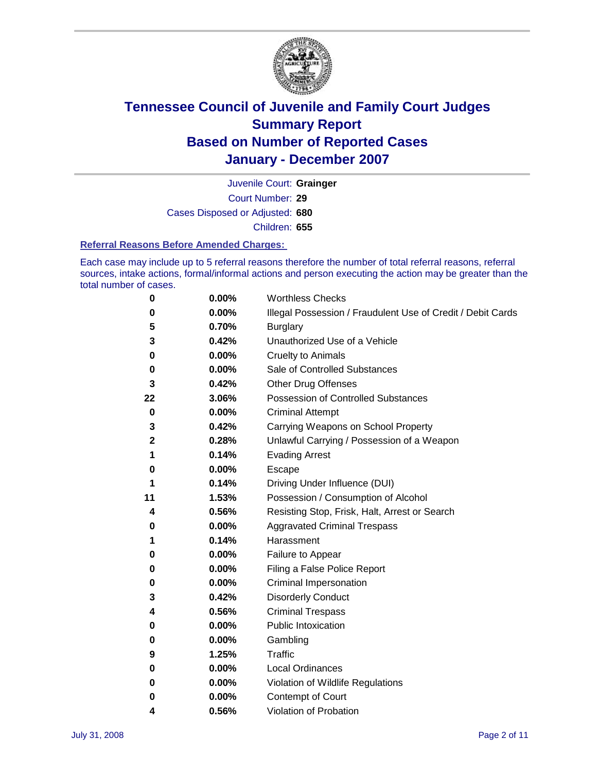

Court Number: **29** Juvenile Court: **Grainger** Cases Disposed or Adjusted: **680** Children: **655**

#### **Referral Reasons Before Amended Charges:**

Each case may include up to 5 referral reasons therefore the number of total referral reasons, referral sources, intake actions, formal/informal actions and person executing the action may be greater than the total number of cases.

| 0            | 0.00% | <b>Worthless Checks</b>                                     |
|--------------|-------|-------------------------------------------------------------|
| 0            | 0.00% | Illegal Possession / Fraudulent Use of Credit / Debit Cards |
| 5            | 0.70% | <b>Burglary</b>                                             |
| 3            | 0.42% | Unauthorized Use of a Vehicle                               |
| 0            | 0.00% | <b>Cruelty to Animals</b>                                   |
| 0            | 0.00% | Sale of Controlled Substances                               |
| 3            | 0.42% | <b>Other Drug Offenses</b>                                  |
| 22           | 3.06% | <b>Possession of Controlled Substances</b>                  |
| 0            | 0.00% | <b>Criminal Attempt</b>                                     |
| 3            | 0.42% | Carrying Weapons on School Property                         |
| $\mathbf{2}$ | 0.28% | Unlawful Carrying / Possession of a Weapon                  |
| 1            | 0.14% | <b>Evading Arrest</b>                                       |
| 0            | 0.00% | Escape                                                      |
| 1            | 0.14% | Driving Under Influence (DUI)                               |
| 11           | 1.53% | Possession / Consumption of Alcohol                         |
| 4            | 0.56% | Resisting Stop, Frisk, Halt, Arrest or Search               |
| 0            | 0.00% | <b>Aggravated Criminal Trespass</b>                         |
| 1            | 0.14% | Harassment                                                  |
| 0            | 0.00% | Failure to Appear                                           |
| 0            | 0.00% | Filing a False Police Report                                |
| 0            | 0.00% | Criminal Impersonation                                      |
| 3            | 0.42% | <b>Disorderly Conduct</b>                                   |
| 4            | 0.56% | <b>Criminal Trespass</b>                                    |
| 0            | 0.00% | <b>Public Intoxication</b>                                  |
| 0            | 0.00% | Gambling                                                    |
| 9            | 1.25% | Traffic                                                     |
| 0            | 0.00% | Local Ordinances                                            |
| 0            | 0.00% | Violation of Wildlife Regulations                           |
| 0            | 0.00% | <b>Contempt of Court</b>                                    |
| 4            | 0.56% | Violation of Probation                                      |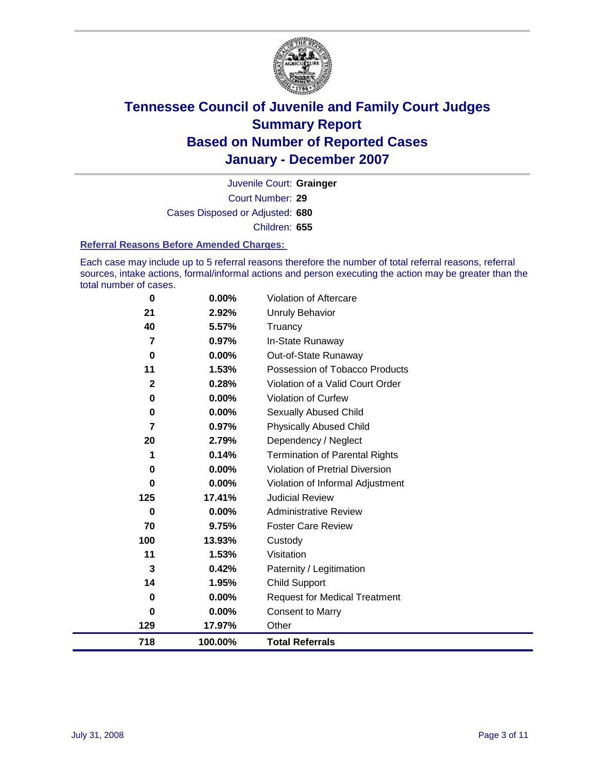

Court Number: **29** Juvenile Court: **Grainger** Cases Disposed or Adjusted: **680** Children: **655**

#### **Referral Reasons Before Amended Charges:**

Each case may include up to 5 referral reasons therefore the number of total referral reasons, referral sources, intake actions, formal/informal actions and person executing the action may be greater than the total number of cases.

| 0           | 0.00%    | Violation of Aftercare                |
|-------------|----------|---------------------------------------|
| 21          | 2.92%    | <b>Unruly Behavior</b>                |
| 40          | 5.57%    | Truancy                               |
| 7           | 0.97%    | In-State Runaway                      |
| 0           | 0.00%    | Out-of-State Runaway                  |
| 11          | 1.53%    | Possession of Tobacco Products        |
| $\mathbf 2$ | 0.28%    | Violation of a Valid Court Order      |
| 0           | 0.00%    | <b>Violation of Curfew</b>            |
| 0           | $0.00\%$ | Sexually Abused Child                 |
| 7           | 0.97%    | <b>Physically Abused Child</b>        |
| 20          | 2.79%    | Dependency / Neglect                  |
| 1           | 0.14%    | <b>Termination of Parental Rights</b> |
| 0           | $0.00\%$ | Violation of Pretrial Diversion       |
| 0           | 0.00%    | Violation of Informal Adjustment      |
| 125         | 17.41%   | <b>Judicial Review</b>                |
| 0           | $0.00\%$ | <b>Administrative Review</b>          |
| 70          | 9.75%    | <b>Foster Care Review</b>             |
| 100         | 13.93%   | Custody                               |
| 11          | 1.53%    | Visitation                            |
| 3           | 0.42%    | Paternity / Legitimation              |
| 14          | 1.95%    | Child Support                         |
| 0           | 0.00%    | <b>Request for Medical Treatment</b>  |
| 0           | 0.00%    | <b>Consent to Marry</b>               |
| 129         | 17.97%   | Other                                 |
| 718         | 100.00%  | <b>Total Referrals</b>                |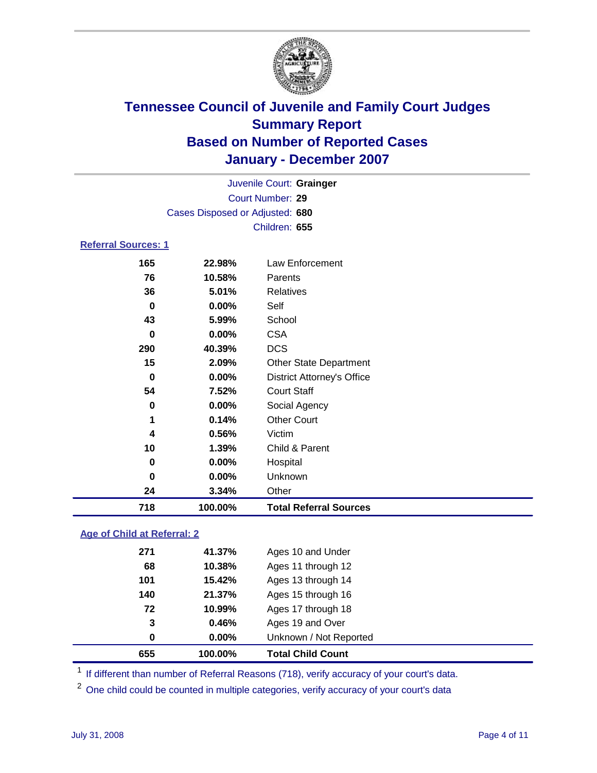

| Juvenile Court: Grainger        |  |
|---------------------------------|--|
| Court Number: 29                |  |
| Cases Disposed or Adjusted: 680 |  |
| Children: 655                   |  |
| <b>Referral Sources: 1</b>      |  |

| 718 | 100.00% | <b>Total Referral Sources</b>     |
|-----|---------|-----------------------------------|
| 24  | 3.34%   | Other                             |
| 0   | 0.00%   | Unknown                           |
| 0   | 0.00%   | Hospital                          |
| 10  | 1.39%   | Child & Parent                    |
| 4   | 0.56%   | Victim                            |
| 1   | 0.14%   | <b>Other Court</b>                |
| 0   | 0.00%   | Social Agency                     |
| 54  | 7.52%   | <b>Court Staff</b>                |
| 0   | 0.00%   | <b>District Attorney's Office</b> |
| 15  | 2.09%   | <b>Other State Department</b>     |
| 290 | 40.39%  | <b>DCS</b>                        |
| 0   | 0.00%   | <b>CSA</b>                        |
| 43  | 5.99%   | School                            |
| 0   | 0.00%   | Self                              |
| 36  | 5.01%   | <b>Relatives</b>                  |
| 76  | 10.58%  | Parents                           |
| 165 | 22.98%  | Law Enforcement                   |

### **Age of Child at Referral: 2**

| 655 | 100.00%      | <b>Total Child Count</b> |
|-----|--------------|--------------------------|
|     | 0.00%<br>0   | Unknown / Not Reported   |
|     | 0.46%<br>3   | Ages 19 and Over         |
|     | 72<br>10.99% | Ages 17 through 18       |
| 140 | 21.37%       | Ages 15 through 16       |
| 101 | 15.42%       | Ages 13 through 14       |
|     | 10.38%<br>68 | Ages 11 through 12       |
| 271 | 41.37%       | Ages 10 and Under        |
|     |              |                          |

<sup>1</sup> If different than number of Referral Reasons (718), verify accuracy of your court's data.

One child could be counted in multiple categories, verify accuracy of your court's data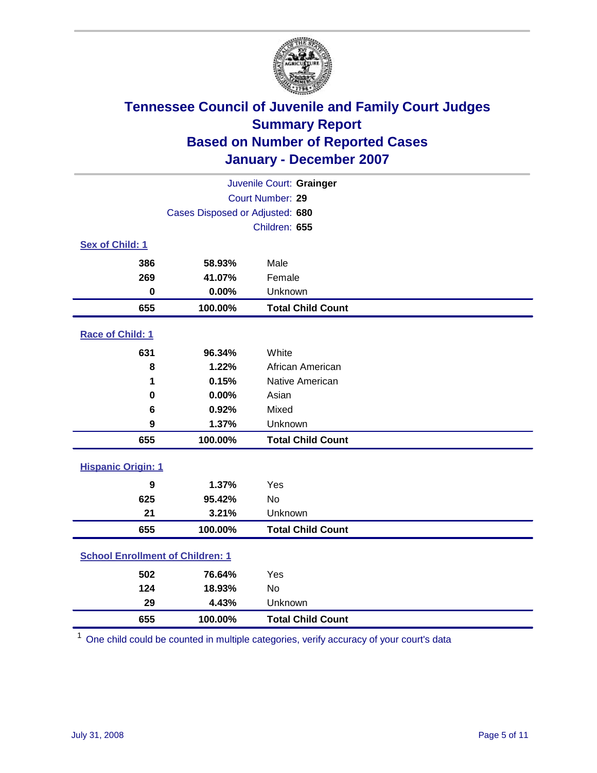

|                                         |                                 | Juvenile Court: Grainger |  |  |  |
|-----------------------------------------|---------------------------------|--------------------------|--|--|--|
| Court Number: 29                        |                                 |                          |  |  |  |
|                                         | Cases Disposed or Adjusted: 680 |                          |  |  |  |
|                                         |                                 | Children: 655            |  |  |  |
| Sex of Child: 1                         |                                 |                          |  |  |  |
| 386                                     | 58.93%                          | Male                     |  |  |  |
| 269                                     | 41.07%                          | Female                   |  |  |  |
| $\bf{0}$                                | 0.00%                           | Unknown                  |  |  |  |
| 655                                     | 100.00%                         | <b>Total Child Count</b> |  |  |  |
| Race of Child: 1                        |                                 |                          |  |  |  |
| 631                                     | 96.34%                          | White                    |  |  |  |
| 8                                       | 1.22%                           | African American         |  |  |  |
| 1                                       | 0.15%                           | Native American          |  |  |  |
| 0                                       | 0.00%                           | Asian                    |  |  |  |
| 6                                       | 0.92%                           | Mixed                    |  |  |  |
| 9                                       | 1.37%                           | Unknown                  |  |  |  |
| 655                                     | 100.00%                         | <b>Total Child Count</b> |  |  |  |
| <b>Hispanic Origin: 1</b>               |                                 |                          |  |  |  |
| 9                                       | 1.37%                           | Yes                      |  |  |  |
| 625                                     | 95.42%                          | <b>No</b>                |  |  |  |
| 21                                      | 3.21%                           | Unknown                  |  |  |  |
| 655                                     | 100.00%                         | <b>Total Child Count</b> |  |  |  |
| <b>School Enrollment of Children: 1</b> |                                 |                          |  |  |  |
| 502                                     | 76.64%                          | Yes                      |  |  |  |
| 124                                     | 18.93%                          | No                       |  |  |  |
| 29                                      | 4.43%                           | Unknown                  |  |  |  |
| 655                                     | 100.00%                         | <b>Total Child Count</b> |  |  |  |

One child could be counted in multiple categories, verify accuracy of your court's data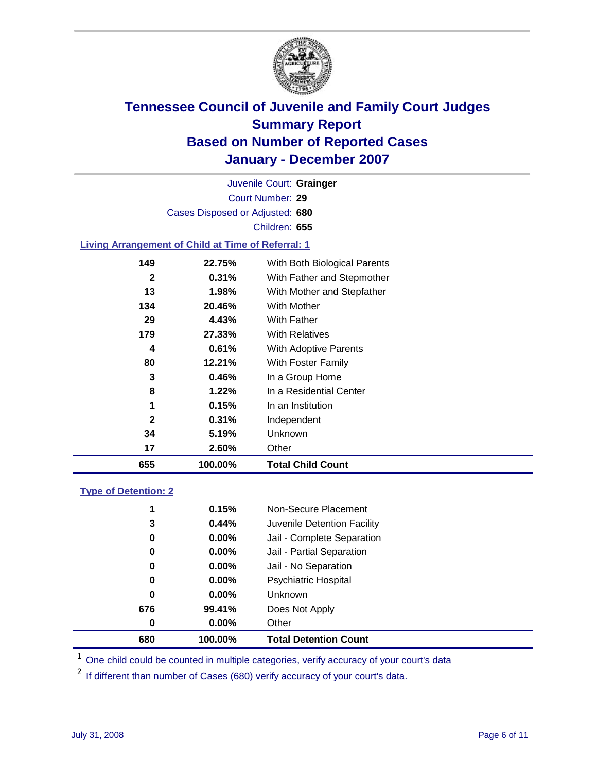

Court Number: **29** Juvenile Court: **Grainger** Cases Disposed or Adjusted: **680** Children: **655**

#### **Living Arrangement of Child at Time of Referral: 1**

| 17           | 2.60%    | Other                        |
|--------------|----------|------------------------------|
| 34           | 5.19%    | Unknown                      |
| $\mathbf{2}$ | $0.31\%$ | Independent                  |
| 1            | 0.15%    | In an Institution            |
| 8            | 1.22%    | In a Residential Center      |
| 3            | 0.46%    | In a Group Home              |
| 80           | 12.21%   | With Foster Family           |
| 4            | 0.61%    | With Adoptive Parents        |
| 179          | 27.33%   | <b>With Relatives</b>        |
| 29           | 4.43%    | With Father                  |
| 134          | 20.46%   | With Mother                  |
| 13           | 1.98%    | With Mother and Stepfather   |
| $\mathbf{2}$ | 0.31%    | With Father and Stepmother   |
| 149          | 22.75%   | With Both Biological Parents |
|              |          |                              |

#### **Type of Detention: 2**

| 680 | 100.00%  | <b>Total Detention Count</b> |  |
|-----|----------|------------------------------|--|
| 0   | $0.00\%$ | Other                        |  |
| 676 | 99.41%   | Does Not Apply               |  |
| 0   | $0.00\%$ | <b>Unknown</b>               |  |
| 0   | 0.00%    | <b>Psychiatric Hospital</b>  |  |
| 0   | 0.00%    | Jail - No Separation         |  |
| 0   | $0.00\%$ | Jail - Partial Separation    |  |
| 0   | 0.00%    | Jail - Complete Separation   |  |
| 3   | 0.44%    | Juvenile Detention Facility  |  |
| 1   | 0.15%    | Non-Secure Placement         |  |
|     |          |                              |  |

<sup>1</sup> One child could be counted in multiple categories, verify accuracy of your court's data

<sup>2</sup> If different than number of Cases (680) verify accuracy of your court's data.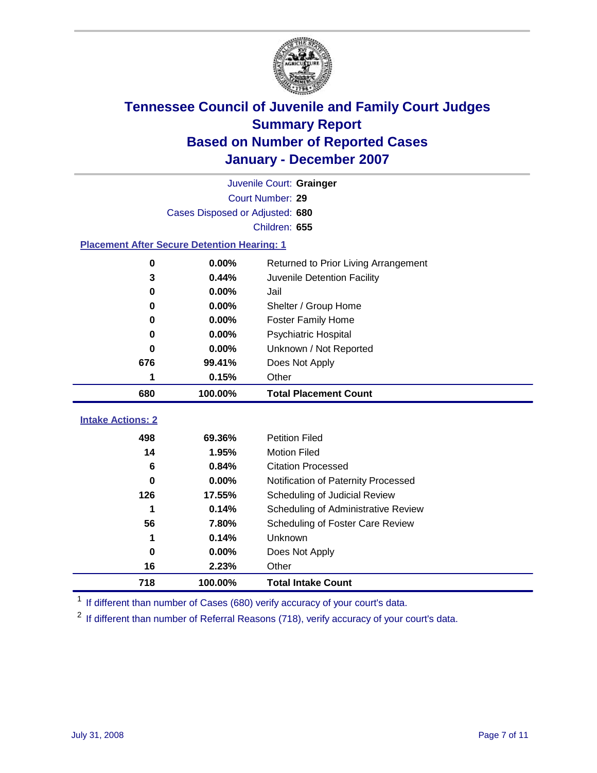

|                                                    | Juvenile Court: Grainger        |                                      |  |  |  |  |
|----------------------------------------------------|---------------------------------|--------------------------------------|--|--|--|--|
|                                                    | Court Number: 29                |                                      |  |  |  |  |
|                                                    | Cases Disposed or Adjusted: 680 |                                      |  |  |  |  |
|                                                    |                                 | Children: 655                        |  |  |  |  |
| <b>Placement After Secure Detention Hearing: 1</b> |                                 |                                      |  |  |  |  |
| $\bf{0}$                                           | 0.00%                           | Returned to Prior Living Arrangement |  |  |  |  |
| 3                                                  | 0.44%                           | Juvenile Detention Facility          |  |  |  |  |
| 0                                                  | 0.00%                           | Jail                                 |  |  |  |  |
| 0                                                  | 0.00%                           | Shelter / Group Home                 |  |  |  |  |
| 0                                                  | 0.00%                           | <b>Foster Family Home</b>            |  |  |  |  |
| 0                                                  | 0.00%                           | <b>Psychiatric Hospital</b>          |  |  |  |  |
| 0                                                  | 0.00%                           | Unknown / Not Reported               |  |  |  |  |
| 676                                                | 99.41%                          | Does Not Apply                       |  |  |  |  |
| 1                                                  | 0.15%                           | Other                                |  |  |  |  |
| 680                                                | 100.00%                         | <b>Total Placement Count</b>         |  |  |  |  |
|                                                    |                                 |                                      |  |  |  |  |
| <b>Intake Actions: 2</b>                           |                                 |                                      |  |  |  |  |
| 498                                                | 69.36%                          | <b>Petition Filed</b>                |  |  |  |  |
| 14                                                 | 1.95%                           | <b>Motion Filed</b>                  |  |  |  |  |
| 6                                                  | 0.84%                           | <b>Citation Processed</b>            |  |  |  |  |
| 0                                                  | 0.00%                           | Notification of Paternity Processed  |  |  |  |  |
| 126                                                | 17.55%                          | Scheduling of Judicial Review        |  |  |  |  |
| 1                                                  | 0.14%                           | Scheduling of Administrative Review  |  |  |  |  |
| 56                                                 | 7.80%                           | Scheduling of Foster Care Review     |  |  |  |  |
| 1                                                  | 0.14%                           | Unknown                              |  |  |  |  |
| 0                                                  | 0.00%                           | Does Not Apply                       |  |  |  |  |
| 16                                                 | 2.23%                           | Other                                |  |  |  |  |
| 718                                                | 100.00%                         | <b>Total Intake Count</b>            |  |  |  |  |

<sup>1</sup> If different than number of Cases (680) verify accuracy of your court's data.

<sup>2</sup> If different than number of Referral Reasons (718), verify accuracy of your court's data.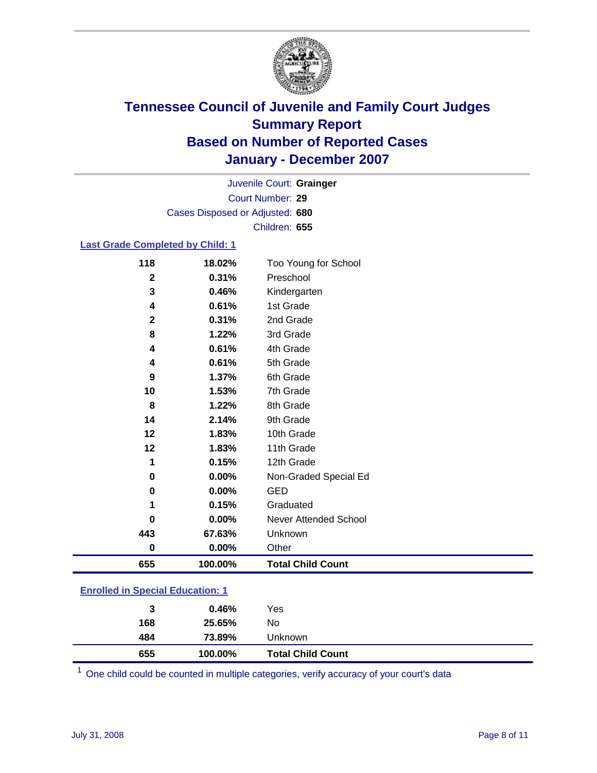

Court Number: **29** Juvenile Court: **Grainger** Cases Disposed or Adjusted: **680** Children: **655**

#### **Last Grade Completed by Child: 1**

| 118          | 18.02%  | Too Young for School     |
|--------------|---------|--------------------------|
| $\mathbf{2}$ | 0.31%   | Preschool                |
| 3            | 0.46%   | Kindergarten             |
| 4            | 0.61%   | 1st Grade                |
| $\mathbf{2}$ | 0.31%   | 2nd Grade                |
| 8            | 1.22%   | 3rd Grade                |
| 4            | 0.61%   | 4th Grade                |
| 4            | 0.61%   | 5th Grade                |
| 9            | 1.37%   | 6th Grade                |
| 10           | 1.53%   | 7th Grade                |
| 8            | 1.22%   | 8th Grade                |
| 14           | 2.14%   | 9th Grade                |
| 12           | 1.83%   | 10th Grade               |
| 12           | 1.83%   | 11th Grade               |
| 1            | 0.15%   | 12th Grade               |
| 0            | 0.00%   | Non-Graded Special Ed    |
| 0            | 0.00%   | <b>GED</b>               |
| 1            | 0.15%   | Graduated                |
| 0            | 0.00%   | Never Attended School    |
| 443          | 67.63%  | Unknown                  |
| $\bf{0}$     | 0.00%   | Other                    |
| 655          | 100.00% | <b>Total Child Count</b> |

### **Enrolled in Special Education: 1**

| 484<br>655 | 73.89%<br>100.00% | Unknown<br><b>Total Child Count</b> |
|------------|-------------------|-------------------------------------|
| 168        | 25.65%            | No                                  |
| 3          | 0.46%             | Yes                                 |

One child could be counted in multiple categories, verify accuracy of your court's data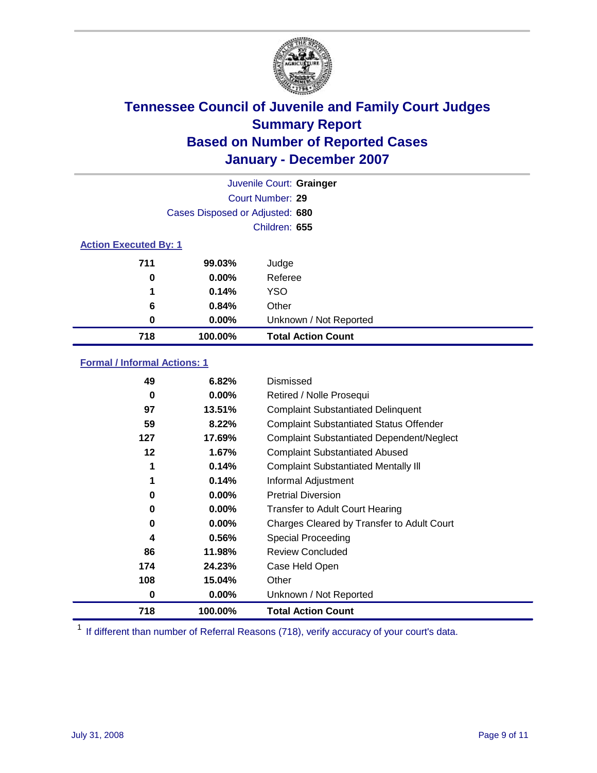

|                              |                                 | Juvenile Court: Grainger  |
|------------------------------|---------------------------------|---------------------------|
|                              |                                 | Court Number: 29          |
|                              | Cases Disposed or Adjusted: 680 |                           |
|                              |                                 | Children: 655             |
| <b>Action Executed By: 1</b> |                                 |                           |
| 711                          | 99.03%                          | Judge                     |
| 0                            | $0.00\%$                        | Referee                   |
| 1                            | 0.14%                           | <b>YSO</b>                |
| 6                            | 0.84%                           | Other                     |
| 0                            | $0.00\%$                        | Unknown / Not Reported    |
| 718                          | 100.00%                         | <b>Total Action Count</b> |

### **Formal / Informal Actions: 1**

| 49       | 6.82%    | Dismissed                                        |
|----------|----------|--------------------------------------------------|
| 0        | $0.00\%$ | Retired / Nolle Prosequi                         |
| 97       | 13.51%   | <b>Complaint Substantiated Delinquent</b>        |
| 59       | 8.22%    | <b>Complaint Substantiated Status Offender</b>   |
| 127      | 17.69%   | <b>Complaint Substantiated Dependent/Neglect</b> |
| 12       | $1.67\%$ | <b>Complaint Substantiated Abused</b>            |
| 1        | 0.14%    | <b>Complaint Substantiated Mentally III</b>      |
| 1        | 0.14%    | Informal Adjustment                              |
| $\bf{0}$ | $0.00\%$ | <b>Pretrial Diversion</b>                        |
| 0        | $0.00\%$ | <b>Transfer to Adult Court Hearing</b>           |
| 0        | $0.00\%$ | Charges Cleared by Transfer to Adult Court       |
| 4        | 0.56%    | Special Proceeding                               |
| 86       | 11.98%   | <b>Review Concluded</b>                          |
| 174      | 24.23%   | Case Held Open                                   |
| 108      | 15.04%   | Other                                            |
| 0        | 0.00%    | Unknown / Not Reported                           |
| 718      | 100.00%  | <b>Total Action Count</b>                        |

<sup>1</sup> If different than number of Referral Reasons (718), verify accuracy of your court's data.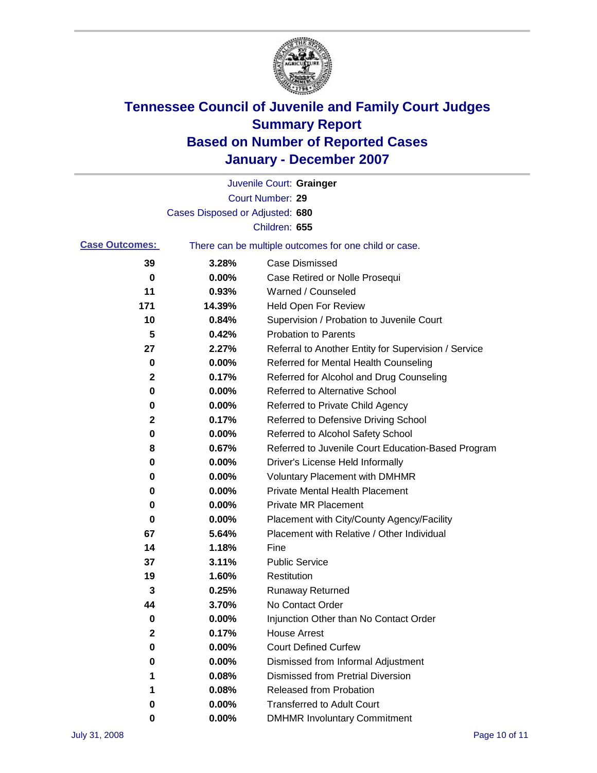

|                       |                                 | Juvenile Court: Grainger                              |
|-----------------------|---------------------------------|-------------------------------------------------------|
|                       |                                 | Court Number: 29                                      |
|                       | Cases Disposed or Adjusted: 680 |                                                       |
|                       |                                 | Children: 655                                         |
| <b>Case Outcomes:</b> |                                 | There can be multiple outcomes for one child or case. |
| 39                    | 3.28%                           | <b>Case Dismissed</b>                                 |
| 0                     | 0.00%                           | Case Retired or Nolle Prosequi                        |
| 11                    | 0.93%                           | Warned / Counseled                                    |
| 171                   | 14.39%                          | <b>Held Open For Review</b>                           |
| 10                    | 0.84%                           | Supervision / Probation to Juvenile Court             |
| 5                     | 0.42%                           | <b>Probation to Parents</b>                           |
| 27                    | 2.27%                           | Referral to Another Entity for Supervision / Service  |
| 0                     | 0.00%                           | Referred for Mental Health Counseling                 |
| 2                     | 0.17%                           | Referred for Alcohol and Drug Counseling              |
| 0                     | 0.00%                           | <b>Referred to Alternative School</b>                 |
| 0                     | 0.00%                           | Referred to Private Child Agency                      |
| 2                     | 0.17%                           | Referred to Defensive Driving School                  |
| 0                     | 0.00%                           | Referred to Alcohol Safety School                     |
| 8                     | 0.67%                           | Referred to Juvenile Court Education-Based Program    |
| 0                     | 0.00%                           | Driver's License Held Informally                      |
| 0                     | 0.00%                           | <b>Voluntary Placement with DMHMR</b>                 |
| 0                     | 0.00%                           | <b>Private Mental Health Placement</b>                |
| 0                     | 0.00%                           | <b>Private MR Placement</b>                           |
| 0                     | 0.00%                           | Placement with City/County Agency/Facility            |
| 67                    | 5.64%                           | Placement with Relative / Other Individual            |
| 14                    | 1.18%                           | Fine                                                  |
| 37                    | 3.11%                           | <b>Public Service</b>                                 |
| 19                    | 1.60%                           | Restitution                                           |
| 3                     | 0.25%                           | <b>Runaway Returned</b>                               |
| 44                    | 3.70%                           | No Contact Order                                      |
| $\bf{0}$              | $0.00\%$                        | Injunction Other than No Contact Order                |
| 2                     | 0.17%                           | <b>House Arrest</b>                                   |
| 0                     | 0.00%                           | <b>Court Defined Curfew</b>                           |
| 0                     | 0.00%                           | Dismissed from Informal Adjustment                    |
| 1                     | 0.08%                           | <b>Dismissed from Pretrial Diversion</b>              |
| 1                     | 0.08%                           | <b>Released from Probation</b>                        |
| 0                     | 0.00%                           | <b>Transferred to Adult Court</b>                     |
| 0                     | 0.00%                           | <b>DMHMR Involuntary Commitment</b>                   |